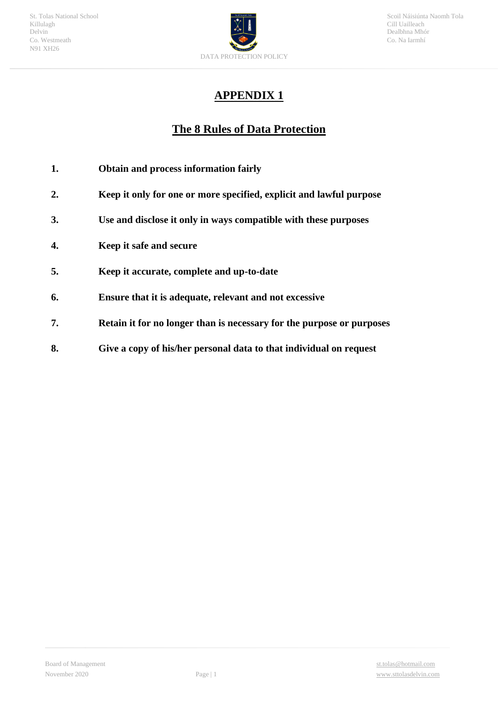

# **The 8 Rules of Data Protection**

- **1. Obtain and process information fairly**
- **2. Keep it only for one or more specified, explicit and lawful purpose**
- **3. Use and disclose it only in ways compatible with these purposes**
- **4. Keep it safe and secure**
- **5. Keep it accurate, complete and up-to-date**
- **6. Ensure that it is adequate, relevant and not excessive**
- **7. Retain it for no longer than is necessary for the purpose or purposes**
- **8. Give a copy of his/her personal data to that individual on request**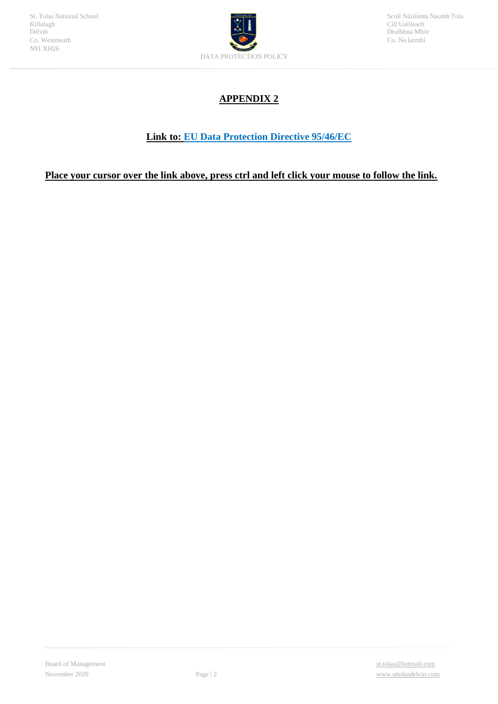

**Link to: [EU Data Protection Directive 95/46/EC](https://eur-lex.europa.eu/legal-content/EN/ALL/?uri=CELEX:31995L0046)**

### **Place your cursor over the link above, press ctrl and left click your mouse to follow the link.**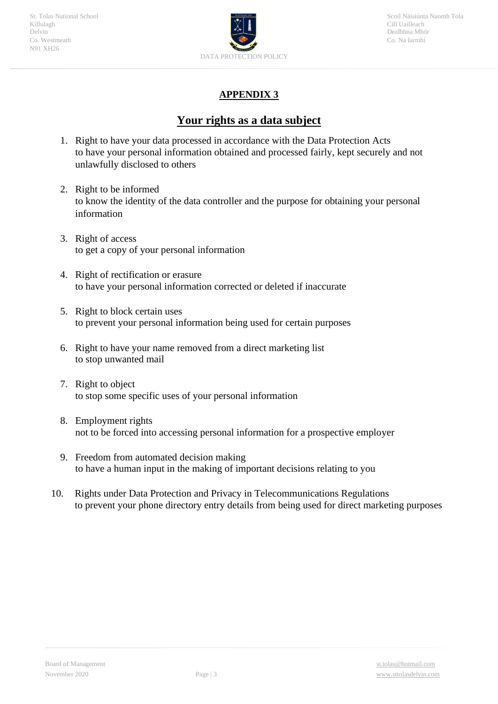

### **Your rights as a data subject**

- 1. Right to have your data processed in accordance with the Data Protection Acts to have your personal information obtained and processed fairly, kept securely and not unlawfully disclosed to others
- 2. Right to be informed to know the identity of the data controller and the purpose for obtaining your personal information
- 3. Right of access to get a copy of your personal information
- 4. Right of rectification or erasure to have your personal information corrected or deleted if inaccurate
- 5. Right to block certain uses to prevent your personal information being used for certain purposes
- 6. Right to have your name removed from a direct marketing list to stop unwanted mail
- 7. Right to object to stop some specific uses of your personal information
- 8. Employment rights not to be forced into accessing personal information for a prospective employer
- 9. Freedom from automated decision making to have a human input in the making of important decisions relating to you
- 10. Rights under Data Protection and Privacy in Telecommunications Regulations to prevent your phone directory entry details from being used for direct marketing purposes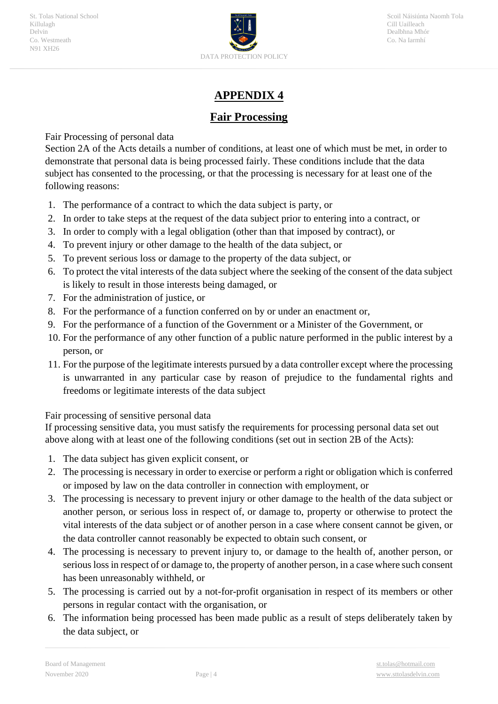

### **Fair Processing**

Fair Processing of personal data

Section 2A of the Acts details a number of conditions, at least one of which must be met, in order to demonstrate that personal data is being processed fairly. These conditions include that the data subject has consented to the processing, or that the processing is necessary for at least one of the following reasons:

- 1. The performance of a contract to which the data subject is party, or
- 2. In order to take steps at the request of the data subject prior to entering into a contract, or
- 3. In order to comply with a legal obligation (other than that imposed by contract), or
- 4. To prevent injury or other damage to the health of the data subject, or
- 5. To prevent serious loss or damage to the property of the data subject, or
- 6. To protect the vital interests of the data subject where the seeking of the consent of the data subject is likely to result in those interests being damaged, or
- 7. For the administration of justice, or
- 8. For the performance of a function conferred on by or under an enactment or,
- 9. For the performance of a function of the Government or a Minister of the Government, or
- 10. For the performance of any other function of a public nature performed in the public interest by a person, or
- 11. For the purpose of the legitimate interests pursued by a data controller except where the processing is unwarranted in any particular case by reason of prejudice to the fundamental rights and freedoms or legitimate interests of the data subject

Fair processing of sensitive personal data

If processing sensitive data, you must satisfy the requirements for processing personal data set out above along with at least one of the following conditions (set out in section 2B of the Acts):

- 1. The data subject has given explicit consent, or
- 2. The processing is necessary in order to exercise or perform a right or obligation which is conferred or imposed by law on the data controller in connection with employment, or
- 3. The processing is necessary to prevent injury or other damage to the health of the data subject or another person, or serious loss in respect of, or damage to, property or otherwise to protect the vital interests of the data subject or of another person in a case where consent cannot be given, or the data controller cannot reasonably be expected to obtain such consent, or
- 4. The processing is necessary to prevent injury to, or damage to the health of, another person, or serious loss in respect of or damage to, the property of another person, in a case where such consent has been unreasonably withheld, or
- 5. The processing is carried out by a not-for-profit organisation in respect of its members or other persons in regular contact with the organisation, or
- 6. The information being processed has been made public as a result of steps deliberately taken by the data subject, or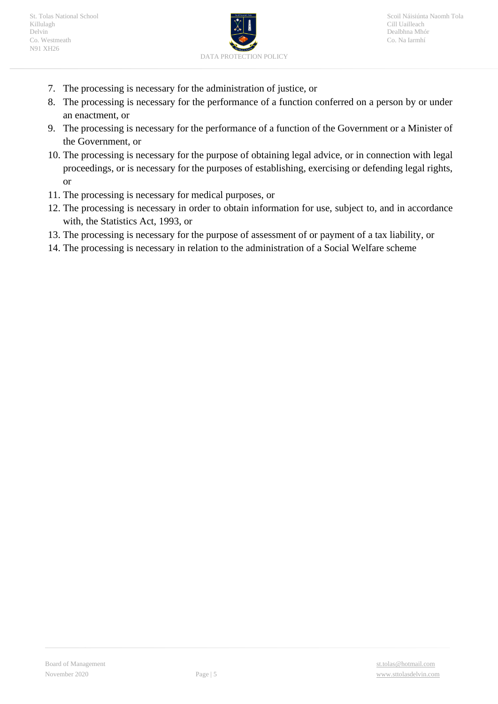

- 7. The processing is necessary for the administration of justice, or
- 8. The processing is necessary for the performance of a function conferred on a person by or under an enactment, or
- 9. The processing is necessary for the performance of a function of the Government or a Minister of the Government, or
- 10. The processing is necessary for the purpose of obtaining legal advice, or in connection with legal proceedings, or is necessary for the purposes of establishing, exercising or defending legal rights, or
- 11. The processing is necessary for medical purposes, or
- 12. The processing is necessary in order to obtain information for use, subject to, and in accordance with, the Statistics Act, 1993, or
- 13. The processing is necessary for the purpose of assessment of or payment of a tax liability, or
- 14. The processing is necessary in relation to the administration of a Social Welfare scheme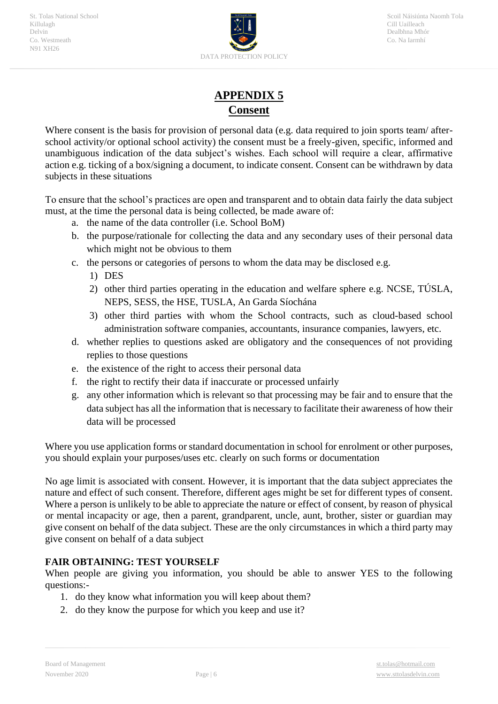

# **APPENDIX 5 Consent**

Where consent is the basis for provision of personal data (e.g. data required to join sports team/ afterschool activity/or optional school activity) the consent must be a freely-given, specific, informed and unambiguous indication of the data subject's wishes. Each school will require a clear, affirmative action e.g. ticking of a box/signing a document, to indicate consent. Consent can be withdrawn by data subjects in these situations

To ensure that the school's practices are open and transparent and to obtain data fairly the data subject must, at the time the personal data is being collected, be made aware of:

- a. the name of the data controller (i.e. School BoM)
- b. the purpose/rationale for collecting the data and any secondary uses of their personal data which might not be obvious to them
- c. the persons or categories of persons to whom the data may be disclosed e.g.
	- 1) DES
	- 2) other third parties operating in the education and welfare sphere e.g. NCSE, TÚSLA, NEPS, SESS, the HSE, TUSLA, An Garda Síochána
	- 3) other third parties with whom the School contracts, such as cloud-based school administration software companies, accountants, insurance companies, lawyers, etc.
- d. whether replies to questions asked are obligatory and the consequences of not providing replies to those questions
- e. the existence of the right to access their personal data
- f. the right to rectify their data if inaccurate or processed unfairly
- g. any other information which is relevant so that processing may be fair and to ensure that the data subject has all the information that is necessary to facilitate their awareness of how their data will be processed

Where you use application forms or standard documentation in school for enrolment or other purposes, you should explain your purposes/uses etc. clearly on such forms or documentation

No age limit is associated with consent. However, it is important that the data subject appreciates the nature and effect of such consent. Therefore, different ages might be set for different types of consent. Where a person is unlikely to be able to appreciate the nature or effect of consent, by reason of physical or mental incapacity or age, then a parent, grandparent, uncle, aunt, brother, sister or guardian may give consent on behalf of the data subject. These are the only circumstances in which a third party may give consent on behalf of a data subject

### **FAIR OBTAINING: TEST YOURSELF**

When people are giving you information, you should be able to answer YES to the following questions:-

- 1. do they know what information you will keep about them?
- 2. do they know the purpose for which you keep and use it?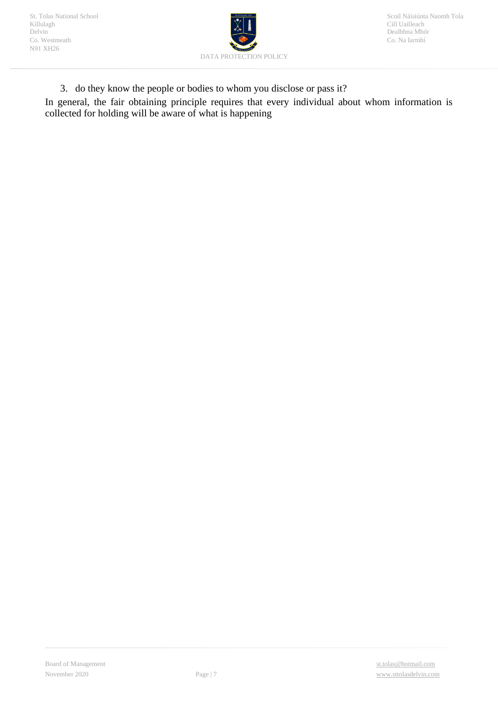

3. do they know the people or bodies to whom you disclose or pass it?

In general, the fair obtaining principle requires that every individual about whom information is collected for holding will be aware of what is happening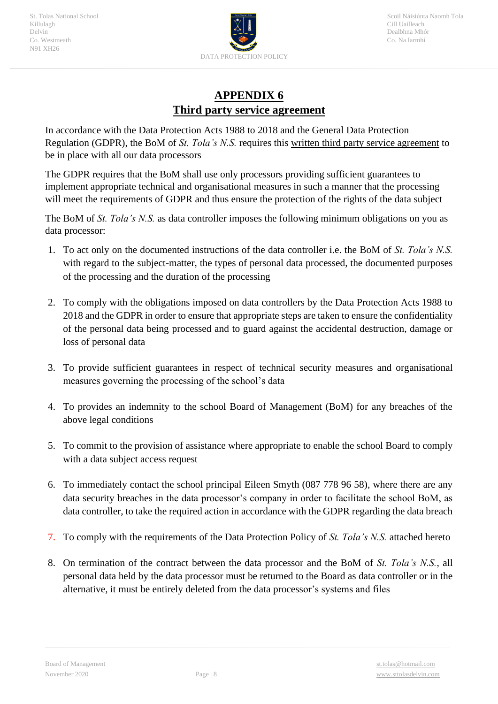

# **APPENDIX 6 Third party service agreement**

In accordance with the Data Protection Acts 1988 to 2018 and the General Data Protection Regulation (GDPR), the BoM of *St. Tola's N.S.* requires this written third party service agreement to be in place with all our data processors

The GDPR requires that the BoM shall use only processors providing sufficient guarantees to implement appropriate technical and organisational measures in such a manner that the processing will meet the requirements of GDPR and thus ensure the protection of the rights of the data subject

The BoM of *St. Tola's N.S.* as data controller imposes the following minimum obligations on you as data processor:

- 1. To act only on the documented instructions of the data controller i.e. the BoM of *St. Tola's N.S.* with regard to the subject-matter, the types of personal data processed, the documented purposes of the processing and the duration of the processing
- 2. To comply with the obligations imposed on data controllers by the Data Protection Acts 1988 to 2018 and the GDPR in order to ensure that appropriate steps are taken to ensure the confidentiality of the personal data being processed and to guard against the accidental destruction, damage or loss of personal data
- 3. To provide sufficient guarantees in respect of technical security measures and organisational measures governing the processing of the school's data
- 4. To provides an indemnity to the school Board of Management (BoM) for any breaches of the above legal conditions
- 5. To commit to the provision of assistance where appropriate to enable the school Board to comply with a data subject access request
- 6. To immediately contact the school principal Eileen Smyth (087 778 96 58), where there are any data security breaches in the data processor's company in order to facilitate the school BoM, as data controller, to take the required action in accordance with the GDPR regarding the data breach
- 7. To comply with the requirements of the Data Protection Policy of *St. Tola's N.S.* attached hereto
- 8. On termination of the contract between the data processor and the BoM of *St. Tola's N.S.*, all personal data held by the data processor must be returned to the Board as data controller or in the alternative, it must be entirely deleted from the data processor's systems and files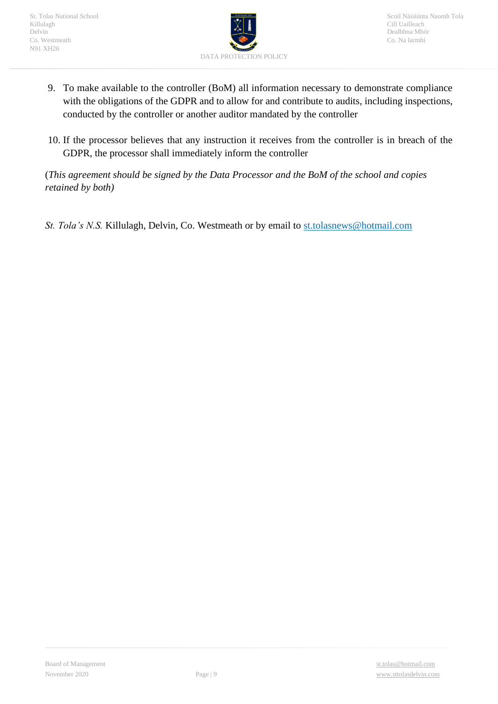

- 9. To make available to the controller (BoM) all information necessary to demonstrate compliance with the obligations of the GDPR and to allow for and contribute to audits, including inspections, conducted by the controller or another auditor mandated by the controller
- 10. If the processor believes that any instruction it receives from the controller is in breach of the GDPR, the processor shall immediately inform the controller

(*This agreement should be signed by the Data Processor and the BoM of the school and copies retained by both)*

*St. Tola's N.S.* Killulagh, Delvin, Co. Westmeath or by email to [st.tolasnews@hotmail.com](mailto:st.tolasnews@hotmail.com)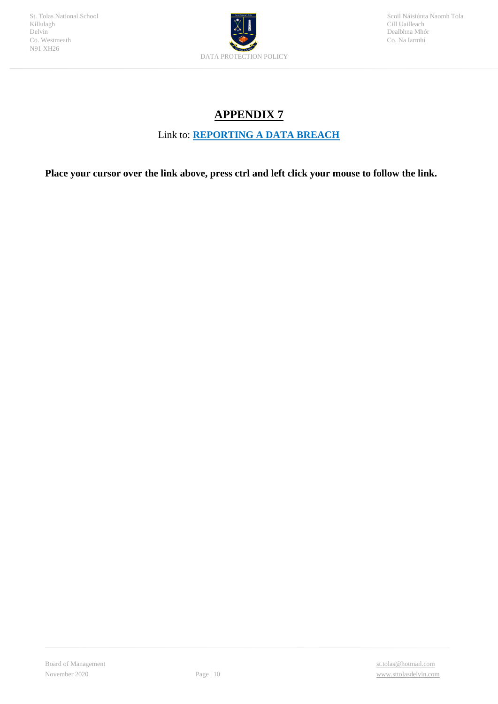

### Link to: **[REPORTING A DATA BREACH](https://www.dataprotection.ie/en/organisations/know-your-obligations/breach-notification)**

**Place your cursor over the link above, press ctrl and left click your mouse to follow the link.**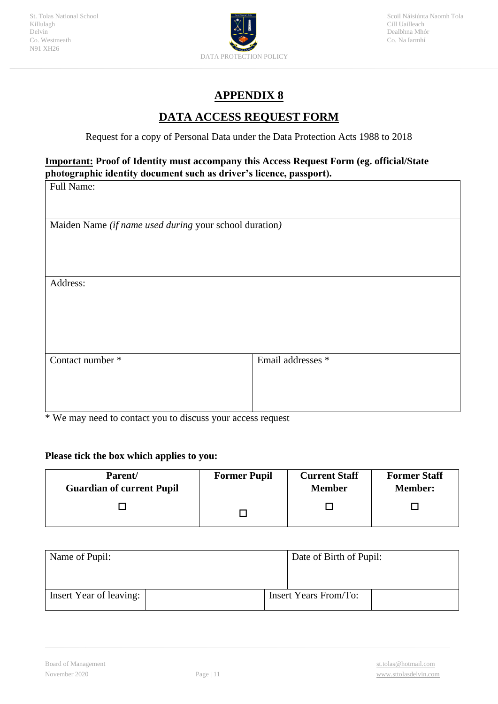

### **DATA ACCESS REQUEST FORM**

Request for a copy of Personal Data under the Data Protection Acts 1988 to 2018

### **Important: Proof of Identity must accompany this Access Request Form (eg. official/State photographic identity document such as driver's licence, passport).**

Full Name:

Maiden Name *(if name used during* your school duration*)*

Address:

| Contact number * | Email addresses * |
|------------------|-------------------|
|                  |                   |
|                  |                   |
|                  |                   |
|                  |                   |

\* We may need to contact you to discuss your access request

#### **Please tick the box which applies to you:**

| Parent/                          | <b>Former Pupil</b> | <b>Current Staff</b> | <b>Former Staff</b> |
|----------------------------------|---------------------|----------------------|---------------------|
| <b>Guardian of current Pupil</b> |                     | <b>Member</b>        | <b>Member:</b>      |
|                                  |                     |                      |                     |

| Name of Pupil:          |  | Date of Birth of Pupil: |  |
|-------------------------|--|-------------------------|--|
|                         |  |                         |  |
| Insert Year of leaving: |  | Insert Years From/To:   |  |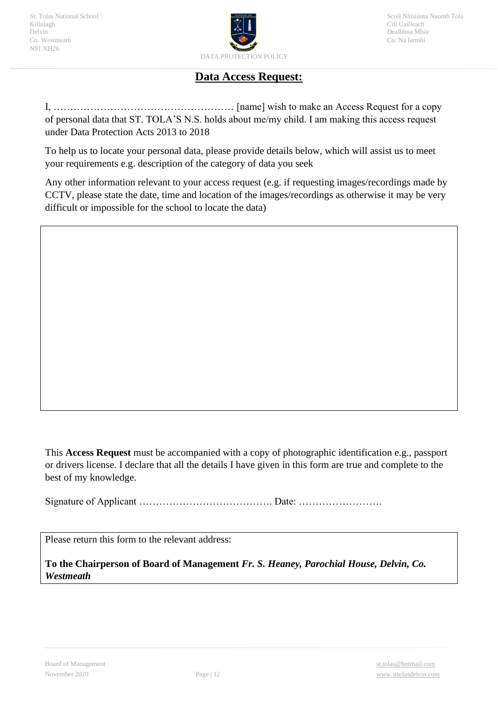

### **Data Access Request:**

I, ……………………………………………… [name] wish to make an Access Request for a copy of personal data that ST. TOLA'S N.S. holds about me/my child. I am making this access request under Data Protection Acts 2013 to 2018

To help us to locate your personal data, please provide details below, which will assist us to meet your requirements e.g. description of the category of data you seek

Any other information relevant to your access request (e.g. if requesting images/recordings made by CCTV, please state the date, time and location of the images/recordings as otherwise it may be very difficult or impossible for the school to locate the data)

This **Access Request** must be accompanied with a copy of photographic identification e.g., passport or drivers license. I declare that all the details I have given in this form are true and complete to the best of my knowledge.

Signature of Applicant …………………………………. Date: …………………….

Please return this form to the relevant address:

**To the Chairperson of Board of Management** *Fr. S. Heaney, Parochial House, Delvin, Co. Westmeath*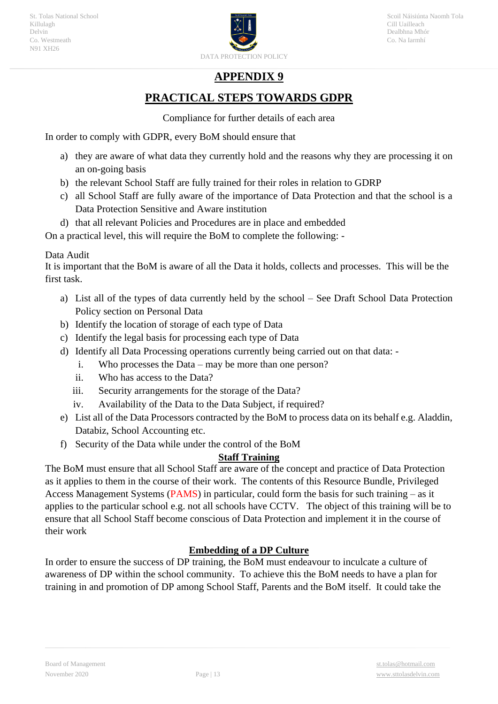

# **PRACTICAL STEPS TOWARDS GDPR**

Compliance for further details of each area

In order to comply with GDPR, every BoM should ensure that

- a) they are aware of what data they currently hold and the reasons why they are processing it on an on-going basis
- b) the relevant School Staff are fully trained for their roles in relation to GDRP
- c) all School Staff are fully aware of the importance of Data Protection and that the school is a Data Protection Sensitive and Aware institution
- d) that all relevant Policies and Procedures are in place and embedded

On a practical level, this will require the BoM to complete the following: -

#### Data Audit

It is important that the BoM is aware of all the Data it holds, collects and processes. This will be the first task.

- a) List all of the types of data currently held by the school See Draft School Data Protection Policy section on Personal Data
- b) Identify the location of storage of each type of Data
- c) Identify the legal basis for processing each type of Data
- d) Identify all Data Processing operations currently being carried out on that data:
	- i. Who processes the Data may be more than one person?
	- ii. Who has access to the Data?
	- iii. Security arrangements for the storage of the Data?
	- iv. Availability of the Data to the Data Subject, if required?
- e) List all of the Data Processors contracted by the BoM to process data on its behalf e.g. Aladdin, Databiz, School Accounting etc.
- f) Security of the Data while under the control of the BoM

### **Staff Training**

The BoM must ensure that all School Staff are aware of the concept and practice of Data Protection as it applies to them in the course of their work. The contents of this Resource Bundle, Privileged Access Management Systems (PAMS) in particular, could form the basis for such training – as it applies to the particular school e.g. not all schools have CCTV. The object of this training will be to ensure that all School Staff become conscious of Data Protection and implement it in the course of their work

### **Embedding of a DP Culture**

In order to ensure the success of DP training, the BoM must endeavour to inculcate a culture of awareness of DP within the school community. To achieve this the BoM needs to have a plan for training in and promotion of DP among School Staff, Parents and the BoM itself. It could take the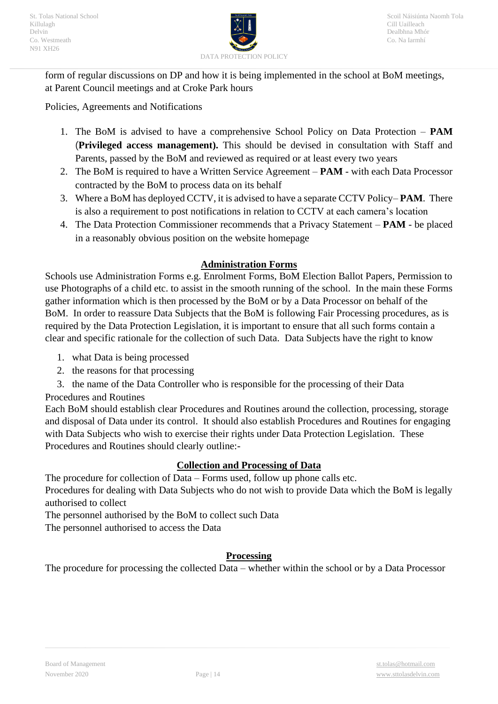

form of regular discussions on DP and how it is being implemented in the school at BoM meetings, at Parent Council meetings and at Croke Park hours

Policies, Agreements and Notifications

- 1. The BoM is advised to have a comprehensive School Policy on Data Protection **PAM** (**Privileged access management).** This should be devised in consultation with Staff and Parents, passed by the BoM and reviewed as required or at least every two years
- 2. The BoM is required to have a Written Service Agreement **PAM** with each Data Processor contracted by the BoM to process data on its behalf
- 3. Where a BoM has deployed CCTV, it is advised to have a separate CCTV Policy– **PAM**. There is also a requirement to post notifications in relation to CCTV at each camera's location
- 4. The Data Protection Commissioner recommends that a Privacy Statement **PAM** be placed in a reasonably obvious position on the website homepage

#### **Administration Forms**

Schools use Administration Forms e.g. Enrolment Forms, BoM Election Ballot Papers, Permission to use Photographs of a child etc. to assist in the smooth running of the school. In the main these Forms gather information which is then processed by the BoM or by a Data Processor on behalf of the BoM. In order to reassure Data Subjects that the BoM is following Fair Processing procedures, as is required by the Data Protection Legislation, it is important to ensure that all such forms contain a clear and specific rationale for the collection of such Data. Data Subjects have the right to know

- 1. what Data is being processed
- 2. the reasons for that processing
- 3. the name of the Data Controller who is responsible for the processing of their Data

Procedures and Routines

Each BoM should establish clear Procedures and Routines around the collection, processing, storage and disposal of Data under its control. It should also establish Procedures and Routines for engaging with Data Subjects who wish to exercise their rights under Data Protection Legislation. These Procedures and Routines should clearly outline:-

#### **Collection and Processing of Data**

The procedure for collection of Data – Forms used, follow up phone calls etc.

Procedures for dealing with Data Subjects who do not wish to provide Data which the BoM is legally authorised to collect

The personnel authorised by the BoM to collect such Data

The personnel authorised to access the Data

#### **Processing**

The procedure for processing the collected Data – whether within the school or by a Data Processor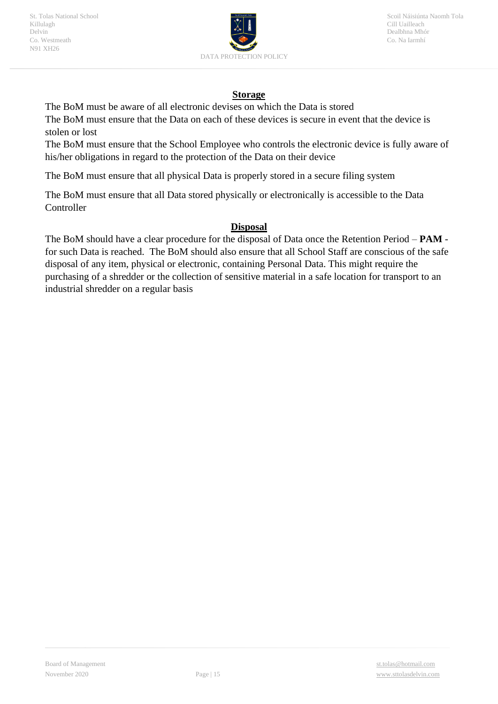

### **Storage**

The BoM must be aware of all electronic devises on which the Data is stored

The BoM must ensure that the Data on each of these devices is secure in event that the device is stolen or lost

The BoM must ensure that the School Employee who controls the electronic device is fully aware of his/her obligations in regard to the protection of the Data on their device

The BoM must ensure that all physical Data is properly stored in a secure filing system

The BoM must ensure that all Data stored physically or electronically is accessible to the Data **Controller** 

#### **Disposal**

The BoM should have a clear procedure for the disposal of Data once the Retention Period – **PAM** for such Data is reached. The BoM should also ensure that all School Staff are conscious of the safe disposal of any item, physical or electronic, containing Personal Data. This might require the purchasing of a shredder or the collection of sensitive material in a safe location for transport to an industrial shredder on a regular basis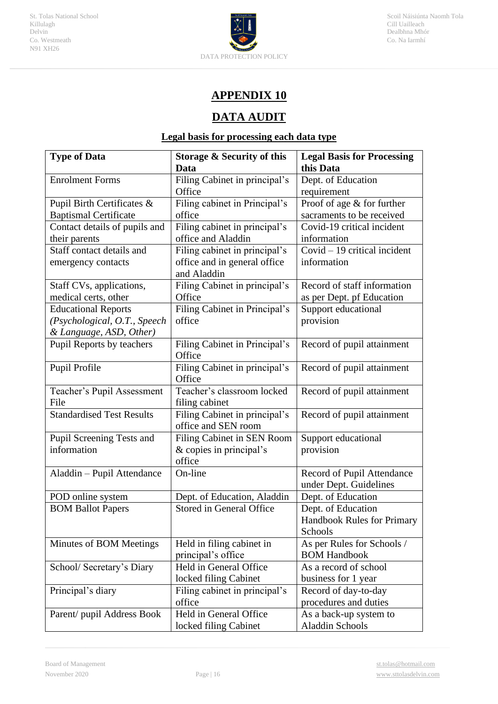

# **DATA AUDIT**

### **Legal basis for processing each data type**

| <b>Type of Data</b>              | Storage & Security of this        | <b>Legal Basis for Processing</b> |
|----------------------------------|-----------------------------------|-----------------------------------|
|                                  | Data                              | this Data                         |
| <b>Enrolment Forms</b>           | Filing Cabinet in principal's     | Dept. of Education                |
|                                  | Office                            | requirement                       |
| Pupil Birth Certificates &       | Filing cabinet in Principal's     | Proof of age & for further        |
| <b>Baptismal Certificate</b>     | office                            | sacraments to be received         |
| Contact details of pupils and    | Filing cabinet in principal's     | Covid-19 critical incident        |
| their parents                    | office and Aladdin                | information                       |
| Staff contact details and        | Filing cabinet in principal's     | Covid - 19 critical incident      |
| emergency contacts               | office and in general office      | information                       |
|                                  | and Aladdin                       |                                   |
| Staff CVs, applications,         | Filing Cabinet in principal's     | Record of staff information       |
| medical certs, other             | Office                            | as per Dept. pf Education         |
| <b>Educational Reports</b>       | Filing Cabinet in Principal's     | Support educational               |
| (Psychological, O.T., Speech     | office                            | provision                         |
| & Language, ASD, Other)          |                                   |                                   |
| Pupil Reports by teachers        | Filing Cabinet in Principal's     | Record of pupil attainment        |
|                                  | Office                            |                                   |
| Pupil Profile                    | Filing Cabinet in principal's     | Record of pupil attainment        |
|                                  | Office                            |                                   |
| Teacher's Pupil Assessment       | Teacher's classroom locked        | Record of pupil attainment        |
| File                             | filing cabinet                    |                                   |
| <b>Standardised Test Results</b> | Filing Cabinet in principal's     | Record of pupil attainment        |
|                                  | office and SEN room               |                                   |
| Pupil Screening Tests and        | Filing Cabinet in SEN Room        | Support educational               |
| information                      | & copies in principal's<br>office | provision                         |
| Aladdin - Pupil Attendance       | On-line                           | Record of Pupil Attendance        |
|                                  |                                   | under Dept. Guidelines            |
| POD online system                | Dept. of Education, Aladdin       | Dept. of Education                |
| <b>BOM Ballot Papers</b>         | Stored in General Office          | Dept. of Education                |
|                                  |                                   | <b>Handbook Rules for Primary</b> |
|                                  |                                   | Schools                           |
| Minutes of BOM Meetings          | Held in filing cabinet in         | As per Rules for Schools /        |
|                                  | principal's office                | <b>BOM Handbook</b>               |
| School/ Secretary's Diary        | Held in General Office            | As a record of school             |
|                                  | locked filing Cabinet             | business for 1 year               |
| Principal's diary                | Filing cabinet in principal's     | Record of day-to-day              |
|                                  | office                            | procedures and duties             |
| Parent/ pupil Address Book       | Held in General Office            | As a back-up system to            |
|                                  | locked filing Cabinet             | <b>Aladdin Schools</b>            |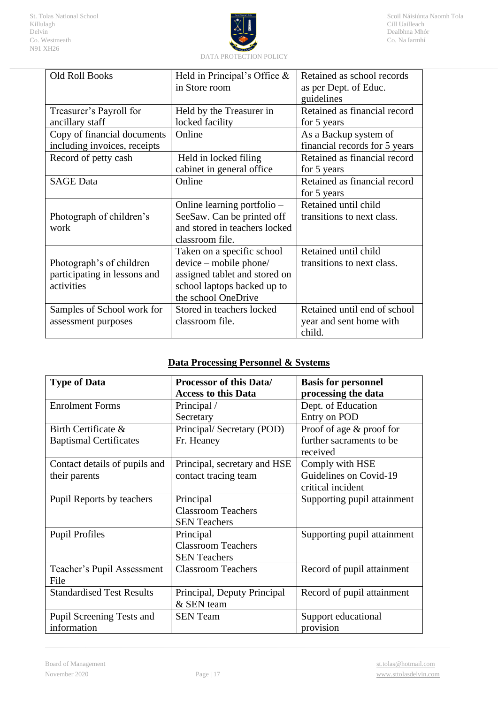

| <b>Old Roll Books</b>        | Held in Principal's Office &  | Retained as school records    |
|------------------------------|-------------------------------|-------------------------------|
|                              | in Store room                 | as per Dept. of Educ.         |
|                              |                               | guidelines                    |
| Treasurer's Payroll for      | Held by the Treasurer in      | Retained as financial record  |
| ancillary staff              | locked facility               | for 5 years                   |
| Copy of financial documents  | Online                        | As a Backup system of         |
| including invoices, receipts |                               | financial records for 5 years |
| Record of petty cash         | Held in locked filing         | Retained as financial record  |
|                              | cabinet in general office     | for 5 years                   |
| <b>SAGE Data</b>             | Online                        | Retained as financial record  |
|                              |                               | for 5 years                   |
|                              | Online learning portfolio –   | Retained until child          |
| Photograph of children's     | SeeSaw. Can be printed off    | transitions to next class.    |
| work                         | and stored in teachers locked |                               |
|                              | classroom file.               |                               |
|                              | Taken on a specific school    | Retained until child          |
| Photograph's of children     | device – mobile phone/        | transitions to next class.    |
| participating in lessons and | assigned tablet and stored on |                               |
| activities                   | school laptops backed up to   |                               |
|                              | the school OneDrive           |                               |
| Samples of School work for   | Stored in teachers locked     | Retained until end of school  |
| assessment purposes          | classroom file.               | year and sent home with       |
|                              |                               | child.                        |

#### **Data Processing Personnel & Systems**

| <b>Type of Data</b>              | <b>Processor of this Data/</b> | <b>Basis for personnel</b>  |
|----------------------------------|--------------------------------|-----------------------------|
|                                  | <b>Access to this Data</b>     | processing the data         |
| <b>Enrolment Forms</b>           | Principal /                    | Dept. of Education          |
|                                  | Secretary                      | Entry on POD                |
| Birth Certificate &              | Principal/Secretary (POD)      | Proof of age & proof for    |
| <b>Baptismal Certificates</b>    | Fr. Heaney                     | further sacraments to be    |
|                                  |                                | received                    |
| Contact details of pupils and    | Principal, secretary and HSE   | Comply with HSE             |
| their parents                    | contact tracing team           | Guidelines on Covid-19      |
|                                  |                                | critical incident           |
| Pupil Reports by teachers        | Principal                      | Supporting pupil attainment |
|                                  | <b>Classroom Teachers</b>      |                             |
|                                  | <b>SEN Teachers</b>            |                             |
| <b>Pupil Profiles</b>            | Principal                      | Supporting pupil attainment |
|                                  | <b>Classroom Teachers</b>      |                             |
|                                  | <b>SEN Teachers</b>            |                             |
| Teacher's Pupil Assessment       | <b>Classroom Teachers</b>      | Record of pupil attainment  |
| File                             |                                |                             |
| <b>Standardised Test Results</b> | Principal, Deputy Principal    | Record of pupil attainment  |
|                                  | & SEN team                     |                             |
| Pupil Screening Tests and        | <b>SEN Team</b>                | Support educational         |
| information                      |                                | provision                   |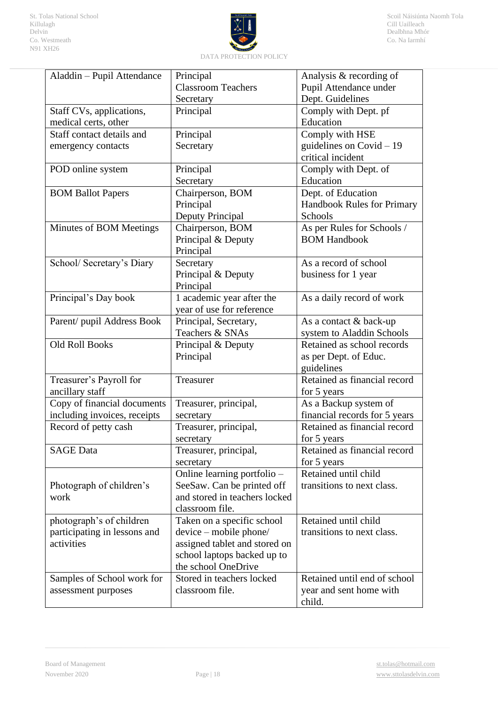

| Aladdin - Pupil Attendance   | Principal                                          | Analysis & recording of           |
|------------------------------|----------------------------------------------------|-----------------------------------|
|                              | <b>Classroom Teachers</b>                          | Pupil Attendance under            |
|                              | Secretary                                          | Dept. Guidelines                  |
| Staff CVs, applications,     | Principal                                          | Comply with Dept. pf              |
| medical certs, other         |                                                    | Education                         |
| Staff contact details and    | Principal                                          | Comply with HSE                   |
| emergency contacts           | Secretary                                          | guidelines on $Covid - 19$        |
|                              |                                                    | critical incident                 |
| POD online system            | Principal                                          | Comply with Dept. of              |
|                              | Secretary                                          | Education                         |
| <b>BOM Ballot Papers</b>     | Chairperson, BOM                                   | Dept. of Education                |
|                              | Principal                                          | <b>Handbook Rules for Primary</b> |
|                              | <b>Deputy Principal</b>                            | Schools                           |
| Minutes of BOM Meetings      | Chairperson, BOM                                   | As per Rules for Schools /        |
|                              | Principal & Deputy                                 | <b>BOM Handbook</b>               |
|                              | Principal                                          |                                   |
| School/ Secretary's Diary    | Secretary                                          | As a record of school             |
|                              | Principal & Deputy                                 | business for 1 year               |
|                              | Principal                                          |                                   |
| Principal's Day book         | 1 academic year after the                          | As a daily record of work         |
|                              | year of use for reference                          |                                   |
| Parent/ pupil Address Book   | Principal, Secretary,                              | As a contact & back-up            |
|                              | Teachers & SNAs                                    | system to Aladdin Schools         |
| Old Roll Books               | Principal & Deputy                                 | Retained as school records        |
|                              | Principal                                          | as per Dept. of Educ.             |
|                              |                                                    | guidelines                        |
| Treasurer's Payroll for      | Treasurer                                          | Retained as financial record      |
| ancillary staff              |                                                    | for 5 years                       |
| Copy of financial documents  | Treasurer, principal,                              | As a Backup system of             |
| including invoices, receipts | secretary                                          | financial records for 5 years     |
| Record of petty cash         | Treasurer, principal,                              | Retained as financial record      |
|                              | secretary                                          | for 5 years                       |
| <b>SAGE Data</b>             | Treasurer, principal,                              | Retained as financial record      |
|                              | secretary                                          | for 5 years                       |
|                              | Online learning portfolio -                        | Retained until child              |
| Photograph of children's     | SeeSaw. Can be printed off                         | transitions to next class.        |
| work                         | and stored in teachers locked                      |                                   |
|                              | classroom file.                                    |                                   |
| photograph's of children     | Taken on a specific school                         | Retained until child              |
| participating in lessons and | device – mobile phone/                             | transitions to next class.        |
| activities                   | assigned tablet and stored on                      |                                   |
|                              | school laptops backed up to<br>the school OneDrive |                                   |
|                              | Stored in teachers locked                          | Retained until end of school      |
| Samples of School work for   | classroom file.                                    | year and sent home with           |
| assessment purposes          |                                                    | child.                            |
|                              |                                                    |                                   |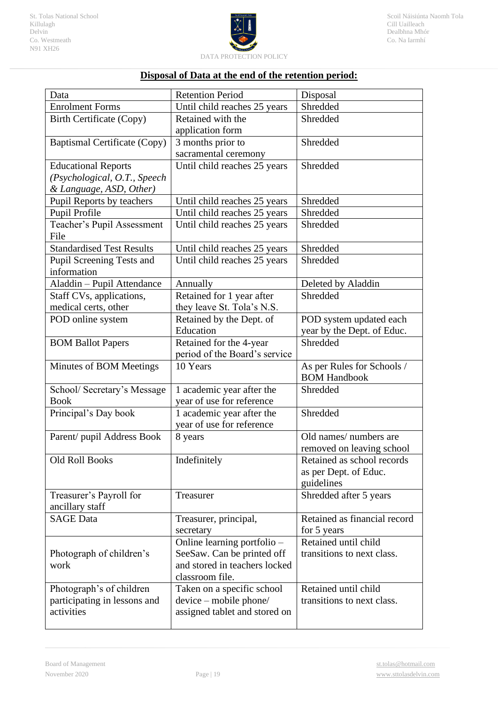

### **Disposal of Data at the end of the retention period:**

| Shredded<br><b>Enrolment Forms</b><br>Until child reaches 25 years                   |  |
|--------------------------------------------------------------------------------------|--|
|                                                                                      |  |
| <b>Birth Certificate (Copy)</b><br>Retained with the<br>Shredded                     |  |
| application form                                                                     |  |
| 3 months prior to<br>Shredded<br><b>Baptismal Certificate (Copy)</b>                 |  |
| sacramental ceremony                                                                 |  |
| Until child reaches 25 years<br>Shredded<br><b>Educational Reports</b>               |  |
| (Psychological, O.T., Speech                                                         |  |
| & Language, ASD, Other)                                                              |  |
| Pupil Reports by teachers<br>Shredded<br>Until child reaches 25 years                |  |
| Pupil Profile<br>Until child reaches 25 years<br>Shredded                            |  |
| Teacher's Pupil Assessment<br>Until child reaches 25 years<br>Shredded               |  |
| File                                                                                 |  |
| <b>Standardised Test Results</b><br>Until child reaches 25 years<br>Shredded         |  |
| Pupil Screening Tests and<br>Shredded<br>Until child reaches 25 years                |  |
| information                                                                          |  |
| Annually<br>Deleted by Aladdin<br>Aladdin - Pupil Attendance                         |  |
| Retained for 1 year after<br>Staff CVs, applications,<br>Shredded                    |  |
| they leave St. Tola's N.S.<br>medical certs, other                                   |  |
| POD online system<br>Retained by the Dept. of<br>POD system updated each             |  |
| Education<br>year by the Dept. of Educ.                                              |  |
| Shredded<br>Retained for the 4-year<br><b>BOM Ballot Papers</b>                      |  |
| period of the Board's service                                                        |  |
| As per Rules for Schools /<br>Minutes of BOM Meetings<br>10 Years                    |  |
| <b>BOM Handbook</b>                                                                  |  |
| 1 academic year after the<br>Shredded<br>School/ Secretary's Message                 |  |
| year of use for reference<br><b>Book</b>                                             |  |
| Shredded<br>Principal's Day book<br>1 academic year after the                        |  |
| year of use for reference                                                            |  |
| Parent/ pupil Address Book<br>Old names/numbers are<br>8 years                       |  |
| removed on leaving school                                                            |  |
| Indefinitely<br>Retained as school records<br>Old Roll Books                         |  |
| as per Dept. of Educ.                                                                |  |
| guidelines                                                                           |  |
| Treasurer's Payroll for<br>Shredded after 5 years<br>Treasurer                       |  |
| ancillary staff                                                                      |  |
| Retained as financial record<br><b>SAGE Data</b><br>Treasurer, principal,            |  |
| for 5 years<br>secretary                                                             |  |
| Retained until child<br>Online learning portfolio -                                  |  |
| transitions to next class.<br>SeeSaw. Can be printed off<br>Photograph of children's |  |
| and stored in teachers locked<br>work                                                |  |
| classroom file.                                                                      |  |
| Retained until child<br>Photograph's of children<br>Taken on a specific school       |  |
| transitions to next class.<br>participating in lessons and<br>device – mobile phone/ |  |
| activities<br>assigned tablet and stored on                                          |  |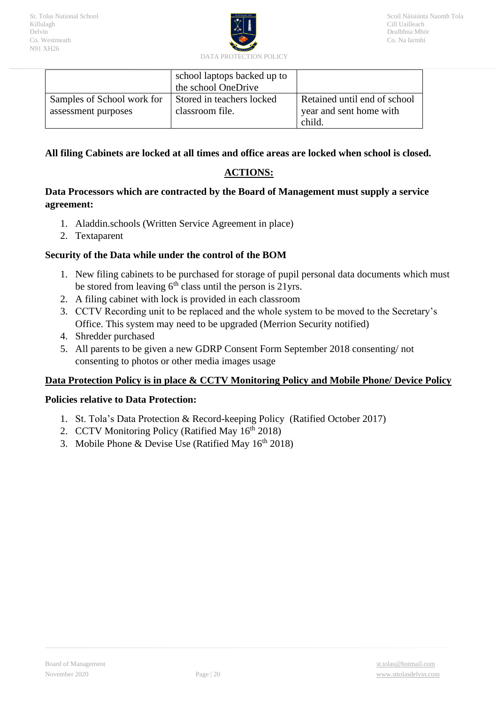

|                            | school laptops backed up to<br>the school OneDrive |                              |
|----------------------------|----------------------------------------------------|------------------------------|
| Samples of School work for | Stored in teachers locked                          | Retained until end of school |
| assessment purposes        | classroom file.                                    | year and sent home with      |
|                            |                                                    | child.                       |

#### **All filing Cabinets are locked at all times and office areas are locked when school is closed.**

#### **ACTIONS:**

#### **Data Processors which are contracted by the Board of Management must supply a service agreement:**

- 1. Aladdin.schools (Written Service Agreement in place)
- 2. Textaparent

#### **Security of the Data while under the control of the BOM**

- 1. New filing cabinets to be purchased for storage of pupil personal data documents which must be stored from leaving  $6<sup>th</sup>$  class until the person is 21yrs.
- 2. A filing cabinet with lock is provided in each classroom
- 3. CCTV Recording unit to be replaced and the whole system to be moved to the Secretary's Office. This system may need to be upgraded (Merrion Security notified)
- 4. Shredder purchased
- 5. All parents to be given a new GDRP Consent Form September 2018 consenting/ not consenting to photos or other media images usage

#### **Data Protection Policy is in place & CCTV Monitoring Policy and Mobile Phone/ Device Policy**

#### **Policies relative to Data Protection:**

- 1. St. Tola's Data Protection & Record-keeping Policy (Ratified October 2017)
- 2. CCTV Monitoring Policy (Ratified May  $16<sup>th</sup> 2018$ )
- 3. Mobile Phone & Devise Use (Ratified May  $16<sup>th</sup> 2018$ )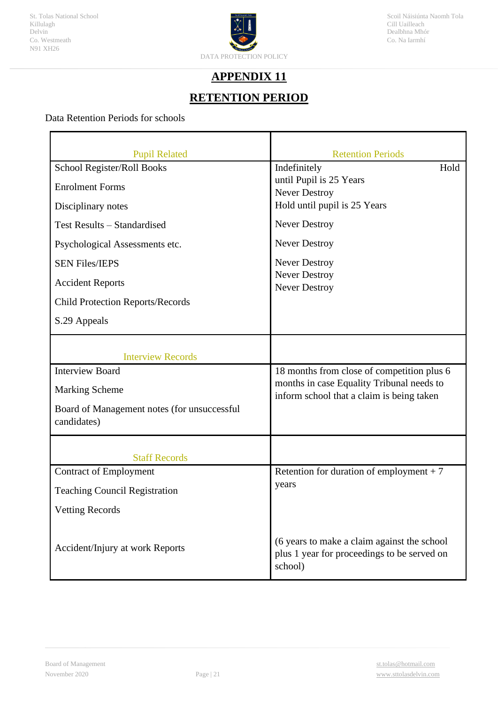

**APPENDIX 11 RETENTION PERIOD**

#### Data Retention Periods for schools

| <b>Pupil Related</b>                                                                                                                      | <b>Retention Periods</b>                                                                                                             |  |
|-------------------------------------------------------------------------------------------------------------------------------------------|--------------------------------------------------------------------------------------------------------------------------------------|--|
| School Register/Roll Books                                                                                                                | Indefinitely<br>Hold                                                                                                                 |  |
| <b>Enrolment Forms</b>                                                                                                                    | until Pupil is 25 Years                                                                                                              |  |
|                                                                                                                                           | <b>Never Destroy</b>                                                                                                                 |  |
| Disciplinary notes                                                                                                                        | Hold until pupil is 25 Years                                                                                                         |  |
| Test Results - Standardised                                                                                                               | <b>Never Destroy</b>                                                                                                                 |  |
| Psychological Assessments etc.                                                                                                            | <b>Never Destroy</b>                                                                                                                 |  |
| <b>SEN Files/IEPS</b>                                                                                                                     | <b>Never Destroy</b>                                                                                                                 |  |
|                                                                                                                                           | <b>Never Destroy</b>                                                                                                                 |  |
| <b>Accident Reports</b>                                                                                                                   | <b>Never Destroy</b>                                                                                                                 |  |
| <b>Child Protection Reports/Records</b>                                                                                                   |                                                                                                                                      |  |
| S.29 Appeals                                                                                                                              |                                                                                                                                      |  |
| <b>Interview Records</b><br><b>Interview Board</b><br><b>Marking Scheme</b><br>Board of Management notes (for unsuccessful<br>candidates) | 18 months from close of competition plus 6<br>months in case Equality Tribunal needs to<br>inform school that a claim is being taken |  |
| <b>Staff Records</b>                                                                                                                      |                                                                                                                                      |  |
| <b>Contract of Employment</b>                                                                                                             | Retention for duration of employment $+7$                                                                                            |  |
| <b>Teaching Council Registration</b>                                                                                                      | years                                                                                                                                |  |
| <b>Vetting Records</b>                                                                                                                    |                                                                                                                                      |  |
| Accident/Injury at work Reports                                                                                                           | (6 years to make a claim against the school<br>plus 1 year for proceedings to be served on<br>school)                                |  |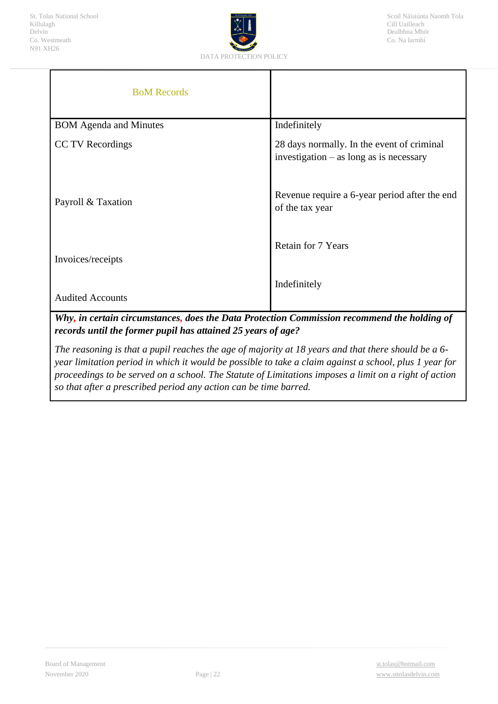

| <b>BoM Records</b>                                                                                                                                                                                                                                                                                                |                                                                                         |
|-------------------------------------------------------------------------------------------------------------------------------------------------------------------------------------------------------------------------------------------------------------------------------------------------------------------|-----------------------------------------------------------------------------------------|
| <b>BOM</b> Agenda and Minutes                                                                                                                                                                                                                                                                                     | Indefinitely                                                                            |
| CC TV Recordings                                                                                                                                                                                                                                                                                                  | 28 days normally. In the event of criminal<br>investigation $-$ as long as is necessary |
| Payroll & Taxation                                                                                                                                                                                                                                                                                                | Revenue require a 6-year period after the end<br>of the tax year                        |
| Invoices/receipts                                                                                                                                                                                                                                                                                                 | <b>Retain for 7 Years</b>                                                               |
| <b>Audited Accounts</b><br>$\mathbf{H}^T$ , the contribution of the definition $\mathbf{D}$ , and $\mathbf{D}$ , and $\mathbf{D}$ , and $\mathbf{D}$ , and $\mathbf{D}$ , and $\mathbf{D}$ , and $\mathbf{D}$ , and $\mathbf{D}$ , $\mathbf{D}$ , $\mathbf{D}$ , $\mathbf{D}$ , $\mathbf{D}$ , $\mathbf{D}$ , $\$ | Indefinitely                                                                            |

*Why, in certain circumstances, does the Data Protection Commission recommend the holding of records until the former pupil has attained 25 years of age?* 

*The reasoning is that a pupil reaches the age of majority at 18 years and that there should be a 6 year limitation period in which it would be possible to take a claim against a school, plus 1 year for proceedings to be served on a school. The Statute of Limitations imposes a limit on a right of action so that after a prescribed period any action can be time barred.*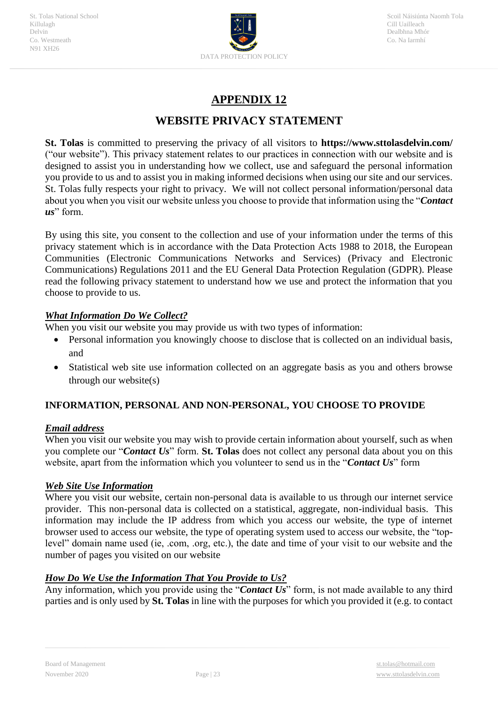

### **WEBSITE PRIVACY STATEMENT**

**St. Tolas** is committed to preserving the privacy of all visitors to **https://www.sttolasdelvin.com/**  ("our website"). This privacy statement relates to our practices in connection with our website and is designed to assist you in understanding how we collect, use and safeguard the personal information you provide to us and to assist you in making informed decisions when using our site and our services. St. Tolas fully respects your right to privacy. We will not collect personal information/personal data about you when you visit our website unless you choose to provide that information using the "*Contact us*" form.

By using this site, you consent to the collection and use of your information under the terms of this privacy statement which is in accordance with the Data Protection Acts 1988 to 2018, the European Communities (Electronic Communications Networks and Services) (Privacy and Electronic Communications) Regulations 2011 and the EU General Data Protection Regulation (GDPR). Please read the following privacy statement to understand how we use and protect the information that you choose to provide to us.

#### *What Information Do We Collect?*

When you visit our website you may provide us with two types of information:

- Personal information you knowingly choose to disclose that is collected on an individual basis, and
- Statistical web site use information collected on an aggregate basis as you and others browse through our website(s)

#### **INFORMATION, PERSONAL AND NON-PERSONAL, YOU CHOOSE TO PROVIDE**

#### *Email address*

When you visit our website you may wish to provide certain information about yourself, such as when you complete our "*Contact Us*" form. **St. Tolas** does not collect any personal data about you on this website, apart from the information which you volunteer to send us in the "*Contact Us*" form

#### *Web Site Use Information*

Where you visit our website, certain non-personal data is available to us through our internet service provider. This non-personal data is collected on a statistical, aggregate, non-individual basis. This information may include the IP address from which you access our website, the type of internet browser used to access our website, the type of operating system used to access our website, the "toplevel" domain name used (ie, .com, .org, etc.), the date and time of your visit to our website and the number of pages you visited on our website

#### *How Do We Use the Information That You Provide to Us?*

Any information, which you provide using the "*Contact Us*" form, is not made available to any third parties and is only used by **St. Tolas** in line with the purposes for which you provided it (e.g. to contact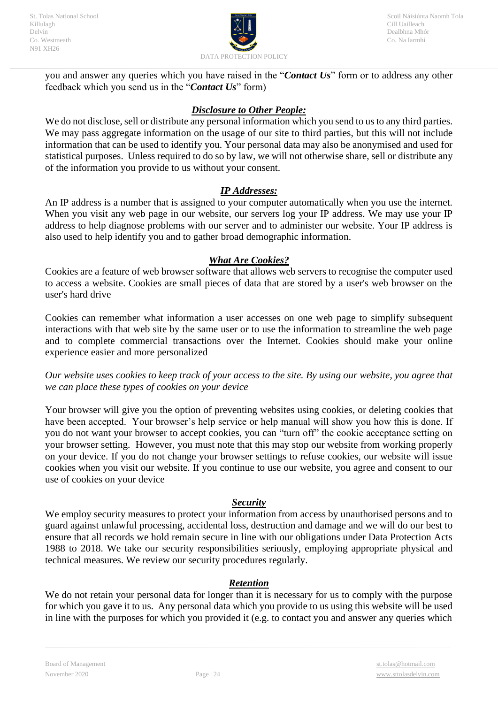

you and answer any queries which you have raised in the "*Contact Us*" form or to address any other feedback which you send us in the "*Contact Us*" form)

#### *Disclosure to Other People:*

We do not disclose, sell or distribute any personal information which you send to us to any third parties. We may pass aggregate information on the usage of our site to third parties, but this will not include information that can be used to identify you. Your personal data may also be anonymised and used for statistical purposes. Unless required to do so by law, we will not otherwise share, sell or distribute any of the information you provide to us without your consent.

#### *IP Addresses:*

An IP address is a number that is assigned to your computer automatically when you use the internet. When you visit any web page in our website, our servers log your IP address. We may use your IP address to help diagnose problems with our server and to administer our website. Your IP address is also used to help identify you and to gather broad demographic information.

#### *What Are Cookies?*

Cookies are a feature of web browser software that allows web servers to recognise the computer used to access a website. Cookies are small pieces of data that are stored by a user's web browser on the user's hard drive

Cookies can remember what information a user accesses on one web page to simplify subsequent interactions with that web site by the same user or to use the information to streamline the web page and to complete commercial transactions over the Internet. Cookies should make your online experience easier and more personalized

*Our website uses cookies to keep track of your access to the site. By using our website, you agree that we can place these types of cookies on your device*

Your browser will give you the option of preventing websites using cookies, or deleting cookies that have been accepted. Your browser's help service or help manual will show you how this is done. If you do not want your browser to accept cookies, you can "turn off" the cookie acceptance setting on your browser setting. However, you must note that this may stop our website from working properly on your device. If you do not change your browser settings to refuse cookies, our website will issue cookies when you visit our website. If you continue to use our website, you agree and consent to our use of cookies on your device

#### *Security*

We employ security measures to protect your information from access by unauthorised persons and to guard against unlawful processing, accidental loss, destruction and damage and we will do our best to ensure that all records we hold remain secure in line with our obligations under Data Protection Acts 1988 to 2018. We take our security responsibilities seriously, employing appropriate physical and technical measures. We review our security procedures regularly.

#### *Retention*

We do not retain your personal data for longer than it is necessary for us to comply with the purpose for which you gave it to us. Any personal data which you provide to us using this website will be used in line with the purposes for which you provided it (e.g. to contact you and answer any queries which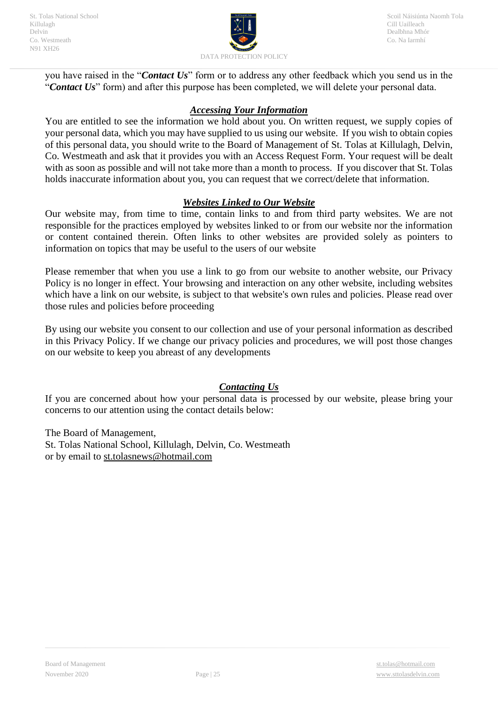

you have raised in the "*Contact Us*" form or to address any other feedback which you send us in the "*Contact Us*" form) and after this purpose has been completed, we will delete your personal data.

#### *Accessing Your Information*

You are entitled to see the information we hold about you. On written request, we supply copies of your personal data, which you may have supplied to us using our website. If you wish to obtain copies of this personal data, you should write to the Board of Management of St. Tolas at Killulagh, Delvin, Co. Westmeath and ask that it provides you with an Access Request Form. Your request will be dealt with as soon as possible and will not take more than a month to process. If you discover that St. Tolas holds inaccurate information about you, you can request that we correct/delete that information.

#### *Websites Linked to Our Website*

Our website may, from time to time, contain links to and from third party websites. We are not responsible for the practices employed by websites linked to or from our website nor the information or content contained therein. Often links to other websites are provided solely as pointers to information on topics that may be useful to the users of our website

Please remember that when you use a link to go from our website to another website, our Privacy Policy is no longer in effect. Your browsing and interaction on any other website, including websites which have a link on our website, is subject to that website's own rules and policies. Please read over those rules and policies before proceeding

By using our website you consent to our collection and use of your personal information as described in this Privacy Policy. If we change our privacy policies and procedures, we will post those changes on our website to keep you abreast of any developments

#### *Contacting Us*

If you are concerned about how your personal data is processed by our website, please bring your concerns to our attention using the contact details below:

The Board of Management, St. Tolas National School, Killulagh, Delvin, Co. Westmeath or by email to [st.tolasnews@hotmail.com](mailto:st.tolasnews@hotmail.com)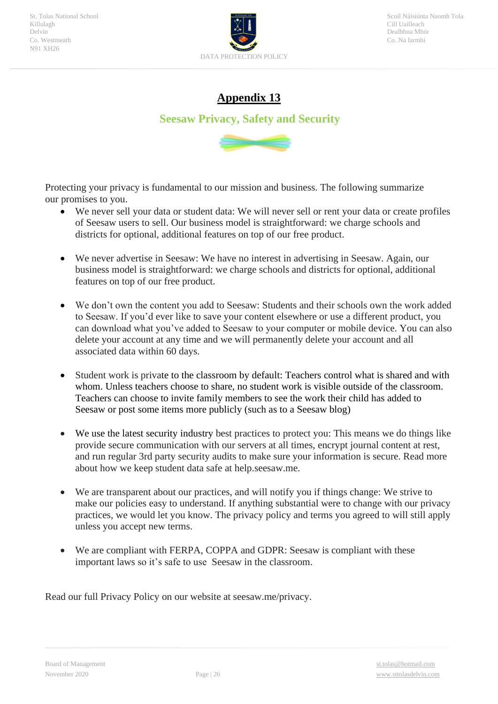

# **Seesaw Privacy, Safety and Security**



Protecting your privacy is fundamental to our mission and business. The following summarize our promises to you.

- We never sell your data or student data: We will never sell or rent your data or create profiles of Seesaw users to sell. Our business model is straightforward: we charge schools and districts for optional, additional features on top of our free product.
- We never advertise in Seesaw: We have no interest in advertising in Seesaw. Again, our business model is straightforward: we charge schools and districts for optional, additional features on top of our free product.
- We don't own the content you add to Seesaw: Students and their schools own the work added to Seesaw. If you'd ever like to save your content elsewhere or use a different product, you can download what you've added to Seesaw to your computer or mobile device. You can also delete your account at any time and we will permanently delete your account and all associated data within 60 days.
- Student work is private to the classroom by default: Teachers control what is shared and with whom. Unless teachers choose to share, no student work is visible outside of the classroom. Teachers can choose to invite family members to see the work their child has added to Seesaw or post some items more publicly (such as to a Seesaw blog)
- We use the latest security industry best practices to protect you: This means we do things like provide secure communication with our servers at all times, encrypt journal content at rest, and run regular 3rd party security audits to make sure your information is secure. Read more about how we keep student data safe at help.seesaw.me.
- We are transparent about our practices, and will notify you if things change: We strive to make our policies easy to understand. If anything substantial were to change with our privacy practices, we would let you know. The privacy policy and terms you agreed to will still apply unless you accept new terms.
- We are compliant with FERPA, COPPA and GDPR: Seesaw is compliant with these important laws so it's safe to use Seesaw in the classroom.

Read our full Privacy Policy on our website at seesaw.me/privacy.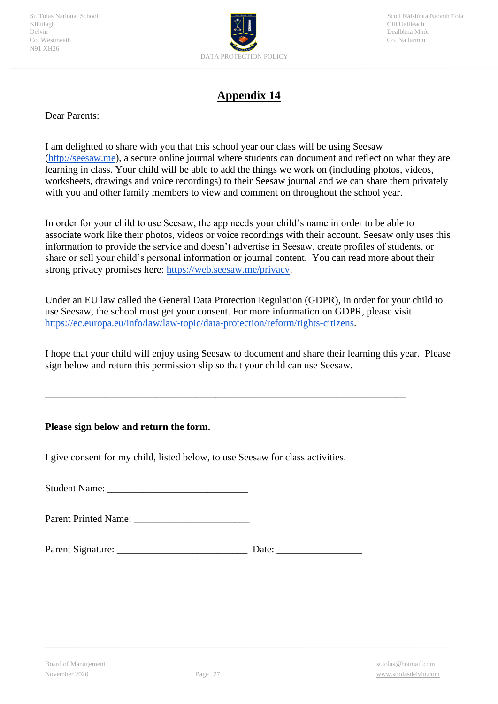

#### Dear Parents:

I am delighted to share with you that this school year our class will be using Seesaw [\(http://seesaw.me\)](http://seesaw.me/), a secure online journal where students can document and reflect on what they are learning in class. Your child will be able to add the things we work on (including photos, videos, worksheets, drawings and voice recordings) to their Seesaw journal and we can share them privately with you and other family members to view and comment on throughout the school year.

In order for your child to use Seesaw, the app needs your child's name in order to be able to associate work like their photos, videos or voice recordings with their account. Seesaw only uses this information to provide the service and doesn't advertise in Seesaw, create profiles of students, or share or sell your child's personal information or journal content. You can read more about their strong privacy promises here: [https://web.seesaw.me/privacy.](https://web.seesaw.me/privacy)

Under an EU law called the General Data Protection Regulation (GDPR), in order for your child to use Seesaw, the school must get your consent. For more information on GDPR, please visit [https://ec.europa.eu/info/law/law-topic/data-protection/reform/rights-citizens.](https://ec.europa.eu/info/law/law-topic/data-protection/reform/rights-citizens)

I hope that your child will enjoy using Seesaw to document and share their learning this year. Please sign below and return this permission slip so that your child can use Seesaw.

 $\frac{1}{\sqrt{2}}$  , and the contract of the contract of the contract of the contract of the contract of the contract of the contract of the contract of the contract of the contract of the contract of the contract of the contra

#### **Please sign below and return the form.**

I give consent for my child, listed below, to use Seesaw for class activities.

Student Name:

Parent Printed Name:

| Parent Signature: | Date: |  |
|-------------------|-------|--|
|                   |       |  |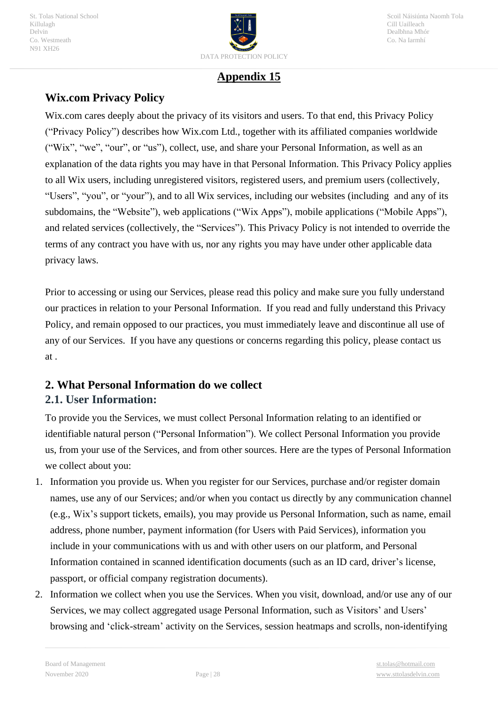

# **Wix.com Privacy Policy**

Wix.com cares deeply about the privacy of its visitors and users. To that end, this Privacy Policy ("Privacy Policy") describes how Wix.com Ltd., together with its affiliated companies worldwide ("Wix", "we", "our", or "us"), collect, use, and share your Personal Information, as well as an explanation of the data rights you may have in that Personal Information. This Privacy Policy applies to all Wix users, including unregistered visitors, registered users, and premium users (collectively, "Users", "you", or "your"), and to all Wix services, including our websites (including and any of its subdomains, the "Website"), web applications ("Wix Apps"), mobile applications ("Mobile Apps"), and related services (collectively, the "Services"). This Privacy Policy is not intended to override the terms of any contract you have with us, nor any rights you may have under other applicable data privacy laws.

Prior to accessing or using our Services, please read this policy and make sure you fully understand our practices in relation to your Personal Information. If you read and fully understand this Privacy Policy, and remain opposed to our practices, you must immediately leave and discontinue all use of any of our Services. If you have any questions or concerns regarding this policy, please contact us at .

# **2. What Personal Information do we collect**

# **2.1. User Information:**

To provide you the Services, we must collect Personal Information relating to an identified or identifiable natural person ("Personal Information"). We collect Personal Information you provide us, from your use of the Services, and from other sources. Here are the types of Personal Information we collect about you:

- 1. Information you provide us. When you register for our Services, purchase and/or register domain names, use any of our Services; and/or when you contact us directly by any communication channel (e.g., Wix's support tickets, emails), you may provide us Personal Information, such as name, email address, phone number, payment information (for Users with Paid Services), information you include in your communications with us and with other users on our platform, and Personal Information contained in scanned identification documents (such as an ID card, driver's license, passport, or official company registration documents).
- 2. Information we collect when you use the Services. When you visit, download, and/or use any of our Services, we may collect aggregated usage Personal Information, such as Visitors' and Users' browsing and 'click-stream' activity on the Services, session heatmaps and scrolls, non-identifying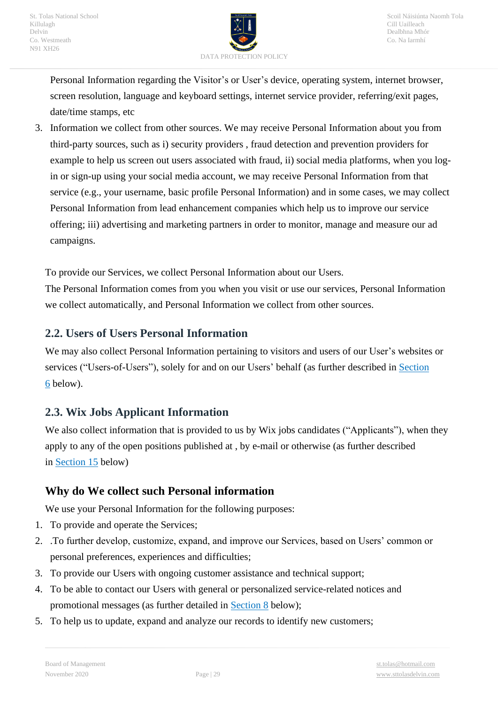

Personal Information regarding the Visitor's or User's device, operating system, internet browser, screen resolution, language and keyboard settings, internet service provider, referring/exit pages, date/time stamps, etc

3. Information we collect from other sources. We may receive Personal Information about you from third-party sources, such as i) security providers , fraud detection and prevention providers for example to help us screen out users associated with fraud, ii) social media platforms, when you login or sign-up using your social media account, we may receive Personal Information from that service (e.g., your username, basic profile Personal Information) and in some cases, we may collect Personal Information from lead enhancement companies which help us to improve our service offering; iii) advertising and marketing partners in order to monitor, manage and measure our ad campaigns.

To provide our Services, we collect Personal Information about our Users.

The Personal Information comes from you when you visit or use our services, Personal Information we collect automatically, and Personal Information we collect from other sources.

### **2.2. Users of Users Personal Information**

We may also collect Personal Information pertaining to visitors and users of our User's websites or services ("Users-of-Users"), solely for and on our Users' behalf (as further described in [Section](https://www.wix.com/about/privacy/) [6](https://www.wix.com/about/privacy/) below).

### **2.3. Wix Jobs Applicant Information**

We also collect information that is provided to us by Wix jobs candidates ("Applicants"), when they apply to any of the open positions published at , by e-mail or otherwise (as further described in [Section](https://www.wix.com/about/privacy/) 15 below)

### **Why do We collect such Personal information**

We use your Personal Information for the following purposes:

- 1. To provide and operate the Services;
- 2. .To further develop, customize, expand, and improve our Services, based on Users' common or personal preferences, experiences and difficulties;
- 3. To provide our Users with ongoing customer assistance and technical support;
- 4. To be able to contact our Users with general or personalized service-related notices and promotional messages (as further detailed in [Section](https://www.wix.com/about/privacy/) 8 below);
- 5. To help us to update, expand and analyze our records to identify new customers;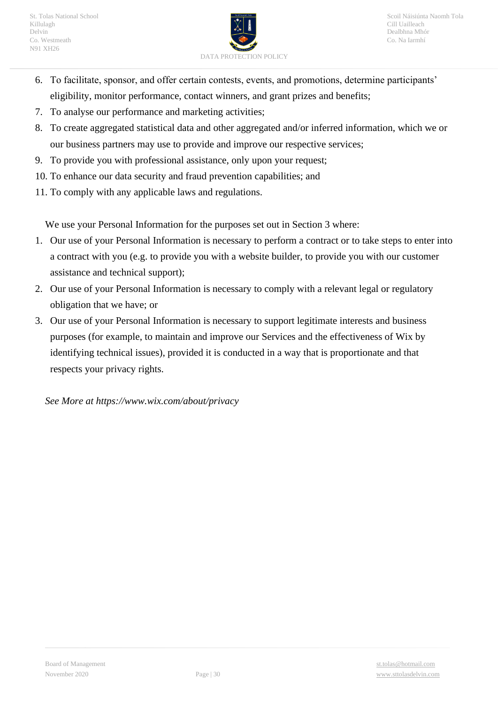

- 6. To facilitate, sponsor, and offer certain contests, events, and promotions, determine participants' eligibility, monitor performance, contact winners, and grant prizes and benefits;
- 7. To analyse our performance and marketing activities;
- 8. To create aggregated statistical data and other aggregated and/or inferred information, which we or our business partners may use to provide and improve our respective services;
- 9. To provide you with professional assistance, only upon your request;
- 10. To enhance our data security and fraud prevention capabilities; and
- 11. To comply with any applicable laws and regulations.

We use your Personal Information for the purposes set out in Section 3 where:

- 1. Our use of your Personal Information is necessary to perform a contract or to take steps to enter into a contract with you (e.g. to provide you with a website builder, to provide you with our customer assistance and technical support);
- 2. Our use of your Personal Information is necessary to comply with a relevant legal or regulatory obligation that we have; or
- 3. Our use of your Personal Information is necessary to support legitimate interests and business purposes (for example, to maintain and improve our Services and the effectiveness of Wix by identifying technical issues), provided it is conducted in a way that is proportionate and that respects your privacy rights.

*See More at https://www.wix.com/about/privacy*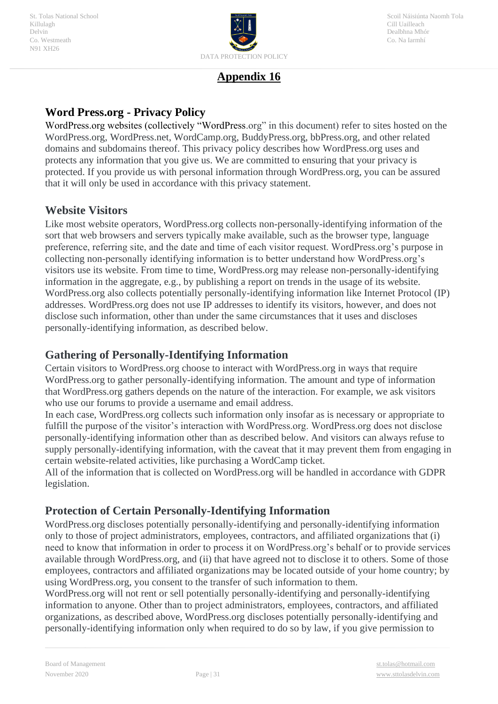

# **Word Press.org - Privacy Policy**

WordPress.org websites (collectively "WordPress.org" in this document) refer to sites hosted on the WordPress.org, WordPress.net, WordCamp.org, BuddyPress.org, bbPress.org, and other related domains and subdomains thereof. This privacy policy describes how WordPress.org uses and protects any information that you give us. We are committed to ensuring that your privacy is protected. If you provide us with personal information through WordPress.org, you can be assured that it will only be used in accordance with this privacy statement.

### **Website Visitors**

Like most website operators, WordPress.org collects non-personally-identifying information of the sort that web browsers and servers typically make available, such as the browser type, language preference, referring site, and the date and time of each visitor request. WordPress.org's purpose in collecting non-personally identifying information is to better understand how WordPress.org's visitors use its website. From time to time, WordPress.org may release non-personally-identifying information in the aggregate, e.g., by publishing a report on trends in the usage of its website. WordPress.org also collects potentially personally-identifying information like Internet Protocol (IP) addresses. WordPress.org does not use IP addresses to identify its visitors, however, and does not disclose such information, other than under the same circumstances that it uses and discloses personally-identifying information, as described below.

### **Gathering of Personally-Identifying Information**

Certain visitors to WordPress.org choose to interact with WordPress.org in ways that require WordPress.org to gather personally-identifying information. The amount and type of information that WordPress.org gathers depends on the nature of the interaction. For example, we ask visitors who use our forums to provide a username and email address.

In each case, WordPress.org collects such information only insofar as is necessary or appropriate to fulfill the purpose of the visitor's interaction with WordPress.org. WordPress.org does not disclose personally-identifying information other than as described below. And visitors can always refuse to supply personally-identifying information, with the caveat that it may prevent them from engaging in certain website-related activities, like purchasing a WordCamp ticket.

All of the information that is collected on WordPress.org will be handled in accordance with GDPR legislation.

### **Protection of Certain Personally-Identifying Information**

WordPress.org discloses potentially personally-identifying and personally-identifying information only to those of project administrators, employees, contractors, and affiliated organizations that (i) need to know that information in order to process it on WordPress.org's behalf or to provide services available through WordPress.org, and (ii) that have agreed not to disclose it to others. Some of those employees, contractors and affiliated organizations may be located outside of your home country; by using WordPress.org, you consent to the transfer of such information to them.

WordPress.org will not rent or sell potentially personally-identifying and personally-identifying information to anyone. Other than to project administrators, employees, contractors, and affiliated organizations, as described above, WordPress.org discloses potentially personally-identifying and personally-identifying information only when required to do so by law, if you give permission to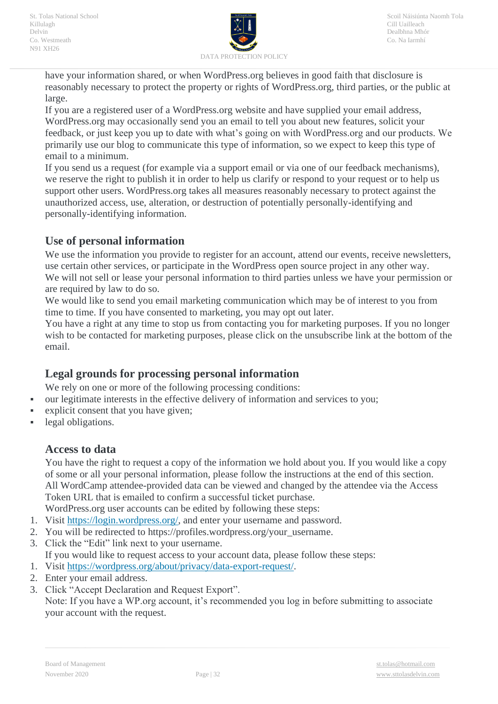

have your information shared, or when WordPress.org believes in good faith that disclosure is reasonably necessary to protect the property or rights of WordPress.org, third parties, or the public at large.

If you are a registered user of a WordPress.org website and have supplied your email address, WordPress.org may occasionally send you an email to tell you about new features, solicit your feedback, or just keep you up to date with what's going on with WordPress.org and our products. We primarily use our blog to communicate this type of information, so we expect to keep this type of email to a minimum.

If you send us a request (for example via a support email or via one of our feedback mechanisms), we reserve the right to publish it in order to help us clarify or respond to your request or to help us support other users. WordPress.org takes all measures reasonably necessary to protect against the unauthorized access, use, alteration, or destruction of potentially personally-identifying and personally-identifying information.

### **Use of personal information**

We use the information you provide to register for an account, attend our events, receive newsletters, use certain other services, or participate in the WordPress open source project in any other way. We will not sell or lease your personal information to third parties unless we have your permission or are required by law to do so.

We would like to send you email marketing communication which may be of interest to you from time to time. If you have consented to marketing, you may opt out later.

You have a right at any time to stop us from contacting you for marketing purposes. If you no longer wish to be contacted for marketing purposes, please click on the unsubscribe link at the bottom of the email.

### **Legal grounds for processing personal information**

We rely on one or more of the following processing conditions:

- our legitimate interests in the effective delivery of information and services to you;
- explicit consent that you have given;
- legal obligations.

### **Access to data**

You have the right to request a copy of the information we hold about you. If you would like a copy of some or all your personal information, please follow the instructions at the end of this section. All WordCamp attendee-provided data can be viewed and changed by the attendee via the Access Token URL that is emailed to confirm a successful ticket purchase.

WordPress.org user accounts can be edited by following these steps:

- 1. Visit [https://login.wordpress.org/,](https://login.wordpress.org/) and enter your username and password.
- 2. You will be redirected to https://profiles.wordpress.org/your\_username.
- 3. Click the "Edit" link next to your username.
- If you would like to request access to your account data, please follow these steps:
- 1. Visit [https://wordpress.org/about/privacy/data-export-request/.](https://wordpress.org/about/privacy/data-export-request/)
- 2. Enter your email address.
- 3. Click "Accept Declaration and Request Export". Note: If you have a WP.org account, it's recommended you log in before submitting to associate your account with the request.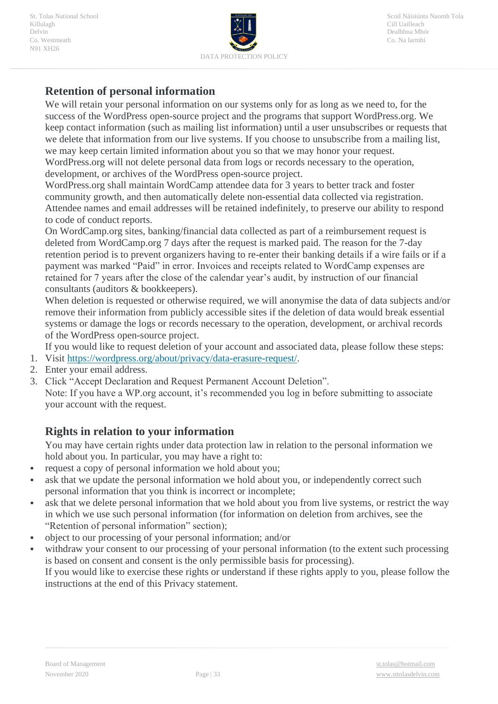

# **Retention of personal information**

We will retain your personal information on our systems only for as long as we need to, for the success of the WordPress open-source project and the programs that support WordPress.org. We keep contact information (such as mailing list information) until a user unsubscribes or requests that we delete that information from our live systems. If you choose to unsubscribe from a mailing list, we may keep certain limited information about you so that we may honor your request. WordPress.org will not delete personal data from logs or records necessary to the operation, development, or archives of the WordPress open-source project.

WordPress.org shall maintain WordCamp attendee data for 3 years to better track and foster community growth, and then automatically delete non-essential data collected via registration. Attendee names and email addresses will be retained indefinitely, to preserve our ability to respond to code of conduct reports.

On WordCamp.org sites, banking/financial data collected as part of a reimbursement request is deleted from WordCamp.org 7 days after the request is marked paid. The reason for the 7-day retention period is to prevent organizers having to re-enter their banking details if a wire fails or if a payment was marked "Paid" in error. Invoices and receipts related to WordCamp expenses are retained for 7 years after the close of the calendar year's audit, by instruction of our financial consultants (auditors & bookkeepers).

When deletion is requested or otherwise required, we will anonymise the data of data subjects and/or remove their information from publicly accessible sites if the deletion of data would break essential systems or damage the logs or records necessary to the operation, development, or archival records of the WordPress open-source project.

If you would like to request deletion of your account and associated data, please follow these steps:

- 1. Visit [https://wordpress.org/about/privacy/data-erasure-request/.](https://wordpress.org/about/privacy/data-erasure-request/)
- 2. Enter your email address.
- 3. Click "Accept Declaration and Request Permanent Account Deletion".

Note: If you have a WP.org account, it's recommended you log in before submitting to associate your account with the request.

# **Rights in relation to your information**

You may have certain rights under data protection law in relation to the personal information we hold about you. In particular, you may have a right to:

- request a copy of personal information we hold about you;
- ask that we update the personal information we hold about you, or independently correct such personal information that you think is incorrect or incomplete;
- ask that we delete personal information that we hold about you from live systems, or restrict the way in which we use such personal information (for information on deletion from archives, see the "Retention of personal information" section);
- object to our processing of your personal information; and/or
- withdraw your consent to our processing of your personal information (to the extent such processing is based on consent and consent is the only permissible basis for processing).

If you would like to exercise these rights or understand if these rights apply to you, please follow the instructions at the end of this Privacy statement.